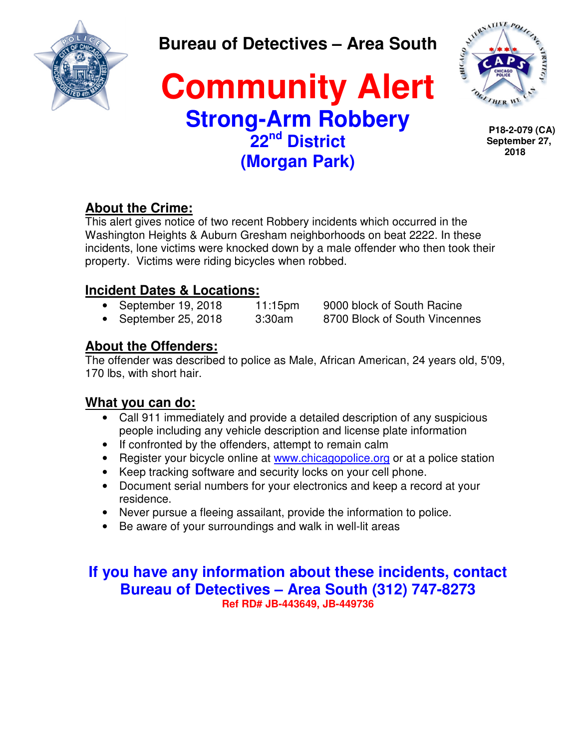

**Bureau of Detectives – Area South** 

## **Community Alert Strong-Arm Robbery 22nd District (Morgan Park)**



**P18-2-079 (CA) September 27, 2018**

### **About the Crime:**

This alert gives notice of two recent Robbery incidents which occurred in the Washington Heights & Auburn Gresham neighborhoods on beat 2222. In these incidents, lone victims were knocked down by a male offender who then took their property. Victims were riding bicycles when robbed.

### **Incident Dates & Locations:**

- September 19, 2018 11:15pm 9000 block of South Racine
- September 25, 2018 3:30am 8700 Block of South Vincennes

### **About the Offenders:**

The offender was described to police as Male, African American, 24 years old, 5'09, 170 lbs, with short hair.

#### **What you can do:**

- Call 911 immediately and provide a detailed description of any suspicious people including any vehicle description and license plate information
- If confronted by the offenders, attempt to remain calm
- Register your bicycle online at www.chicagopolice.org or at a police station
- Keep tracking software and security locks on your cell phone.
- Document serial numbers for your electronics and keep a record at your residence.
- Never pursue a fleeing assailant, provide the information to police.
- Be aware of your surroundings and walk in well-lit areas

### **If you have any information about these incidents, contact Bureau of Detectives – Area South (312) 747-8273 Ref RD# JB-443649, JB-449736**